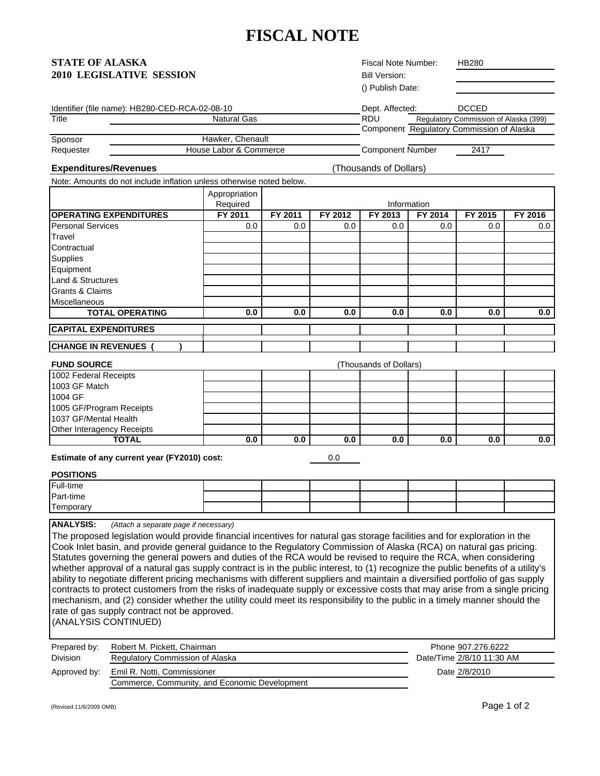# **FISCAL NOTE**

## **STATE OF ALASKA 2010 LEGISLATIVE SESSION**

Fiscal Note Number: Bill Version: () Publish Date:

HB280

| Identifier (file name): HB280-CED-RCA-02-08-10 | Dept. Affected: | <b>DCCED</b>                              |
|------------------------------------------------|-----------------|-------------------------------------------|
| <b>Natural Gas</b>                             | RDU             | Regulatory Commission of Alaska (399)     |
|                                                |                 | Component Regulatory Commission of Alaska |
| Hawker, Chenault                               |                 |                                           |
|                                                |                 |                                           |

Requester **Commerce Commerce Commerce Component Number** 2417

**Expenditures/Revenues**

(Thousands of Dollars)

Note: Amounts do not include inflation unless otherwise noted below.

|                               | Appropriation |             |         |         |         |         |         |
|-------------------------------|---------------|-------------|---------|---------|---------|---------|---------|
|                               | Required      | Information |         |         |         |         |         |
| <b>OPERATING EXPENDITURES</b> | FY 2011       | FY 2011     | FY 2012 | FY 2013 | FY 2014 | FY 2015 | FY 2016 |
| <b>Personal Services</b>      | 0.0           | 0.0         | 0.0     | 0.0     | 0.0     | 0.0     | 0.0     |
| Travel                        |               |             |         |         |         |         |         |
| Contractual                   |               |             |         |         |         |         |         |
| <b>Supplies</b>               |               |             |         |         |         |         |         |
| Equipment                     |               |             |         |         |         |         |         |
| <b>Land &amp; Structures</b>  |               |             |         |         |         |         |         |
| <b>Grants &amp; Claims</b>    |               |             |         |         |         |         |         |
| <b>Miscellaneous</b>          |               |             |         |         |         |         |         |
| <b>TOTAL OPERATING</b>        | 0.0           | 0.0         | 0.0     | 0.0     | 0.0     | 0.0     | 0.0     |
| <b>CAPITAL EXPENDITURES</b>   |               |             |         |         |         |         |         |
|                               |               |             |         |         |         |         |         |
| <b>CHANGE IN REVENUES</b>     |               |             |         |         |         |         |         |

**FUND SOURCE**

| <b>FUND SOURCE</b>         | (Thousands of Dollars) |     |     |     |     |     |     |
|----------------------------|------------------------|-----|-----|-----|-----|-----|-----|
| 1002 Federal Receipts      |                        |     |     |     |     |     |     |
| 1003 GF Match              |                        |     |     |     |     |     |     |
| 1004 GF                    |                        |     |     |     |     |     |     |
| 1005 GF/Program Receipts   |                        |     |     |     |     |     |     |
| 1037 GF/Mental Health      |                        |     |     |     |     |     |     |
| Other Interagency Receipts |                        |     |     |     |     |     |     |
| TOTAL                      | 0.0                    | 0.0 | 0.0 | 0.0 | 0.0 | 0.0 | 0.0 |

**Estimate of any current year (FY2010) cost:** 

0.0

#### **POSITIONS**

| Full-time |  |  |  |  |
|-----------|--|--|--|--|
| Part-time |  |  |  |  |
| Temporary |  |  |  |  |

**ANALYSIS:** *(Attach a separate page if necessary)*

The proposed legislation would provide financial incentives for natural gas storage facilities and for exploration in the Cook Inlet basin, and provide general guidance to the Regulatory Commission of Alaska (RCA) on natural gas pricing. Statutes governing the general powers and duties of the RCA would be revised to require the RCA, when considering whether approval of a natural gas supply contract is in the public interest, to (1) recognize the public benefits of a utility's ability to negotiate different pricing mechanisms with different suppliers and maintain a diversified portfolio of gas supply contracts to protect customers from the risks of inadequate supply or excessive costs that may arise from a single pricing mechanism, and (2) consider whether the utility could meet its responsibility to the public in a timely manner should the rate of gas supply contract not be approved.

(ANALYSIS CONTINUED)

| Prepared by:    | Robert M. Pickett, Chairman                   | Phone 907.276.6222        |
|-----------------|-----------------------------------------------|---------------------------|
| <b>Division</b> | Regulatory Commission of Alaska               | Date/Time 2/8/10 11:30 AM |
| Approved by:    | Emil R. Notti, Commissioner                   | Date 2/8/2010             |
|                 | Commerce, Community, and Economic Development |                           |